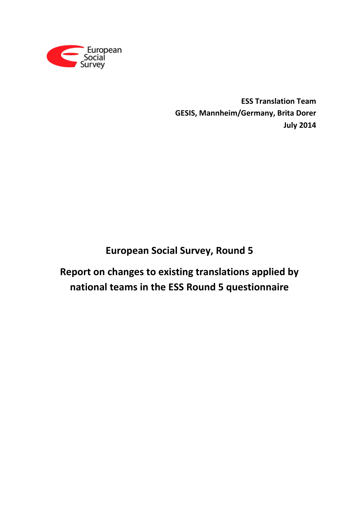

**ESS Translation Team GESIS, Mannheim/Germany, Brita Dorer July 2014**

# **European Social Survey, Round 5**

**Report on changes to existing translations applied by national teams in the ESS Round 5 questionnaire**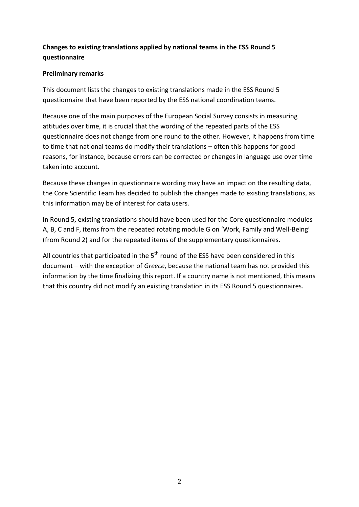# **Changes to existing translations applied by national teams in the ESS Round 5 questionnaire**

### **Preliminary remarks**

This document lists the changes to existing translations made in the ESS Round 5 questionnaire that have been reported by the ESS national coordination teams.

Because one of the main purposes of the European Social Survey consists in measuring attitudes over time, it is crucial that the wording of the repeated parts of the ESS questionnaire does not change from one round to the other. However, it happens from time to time that national teams do modify their translations – often this happens for good reasons, for instance, because errors can be corrected or changes in language use over time taken into account.

Because these changes in questionnaire wording may have an impact on the resulting data, the Core Scientific Team has decided to publish the changes made to existing translations, as this information may be of interest for data users.

In Round 5, existing translations should have been used for the Core questionnaire modules A, B, C and F, items from the repeated rotating module G on 'Work, Family and Well-Being' (from Round 2) and for the repeated items of the supplementary questionnaires.

All countries that participated in the  $5<sup>th</sup>$  round of the ESS have been considered in this document – with the exception of *Greece*, because the national team has not provided this information by the time finalizing this report. If a country name is not mentioned, this means that this country did not modify an existing translation in its ESS Round 5 questionnaires.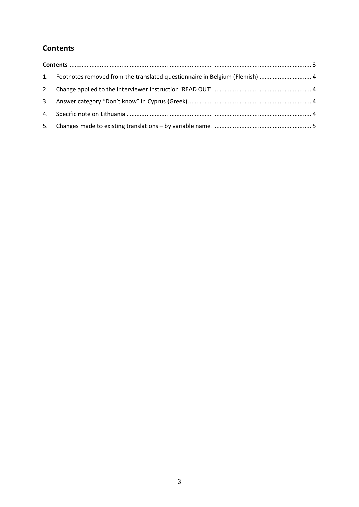# <span id="page-2-0"></span>**Contents**

|    | 1. Footnotes removed from the translated questionnaire in Belgium (Flemish)  4 |  |
|----|--------------------------------------------------------------------------------|--|
|    |                                                                                |  |
|    |                                                                                |  |
|    |                                                                                |  |
| 5. |                                                                                |  |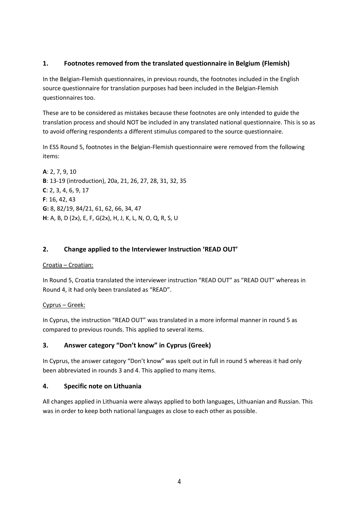### <span id="page-3-0"></span>**1. Footnotes removed from the translated questionnaire in Belgium (Flemish)**

In the Belgian-Flemish questionnaires, in previous rounds, the footnotes included in the English source questionnaire for translation purposes had been included in the Belgian-Flemish questionnaires too.

These are to be considered as mistakes because these footnotes are only intended to guide the translation process and should NOT be included in any translated national questionnaire. This is so as to avoid offering respondents a different stimulus compared to the source questionnaire.

In ESS Round 5, footnotes in the Belgian-Flemish questionnaire were removed from the following items:

**A**: 2, 7, 9, 10 **B**: 13-19 (introduction), 20a, 21, 26, 27, 28, 31, 32, 35 **C**: 2, 3, 4, 6, 9, 17 **F**: 16, 42, 43 **G:** 8, 82/19, 84/21, 61, 62, 66, 34, 47 **H**: A, B, D (2x), E, F, G(2x), H, J, K, L, N, O, Q, R, S, U

### <span id="page-3-1"></span>**2. Change applied to the Interviewer Instruction 'READ OUT'**

### Croatia – Croatian:

In Round 5, Croatia translated the interviewer instruction "READ OUT" as "READ OUT" whereas in Round 4, it had only been translated as "READ".

### Cyprus – Greek:

In Cyprus, the instruction "READ OUT" was translated in a more informal manner in round 5 as compared to previous rounds. This applied to several items.

### <span id="page-3-2"></span>**3. Answer category "Don't know" in Cyprus (Greek)**

In Cyprus, the answer category "Don't know" was spelt out in full in round 5 whereas it had only been abbreviated in rounds 3 and 4. This applied to many items.

### <span id="page-3-3"></span>**4. Specific note on Lithuania**

All changes applied in Lithuania were always applied to both languages, Lithuanian and Russian. This was in order to keep both national languages as close to each other as possible.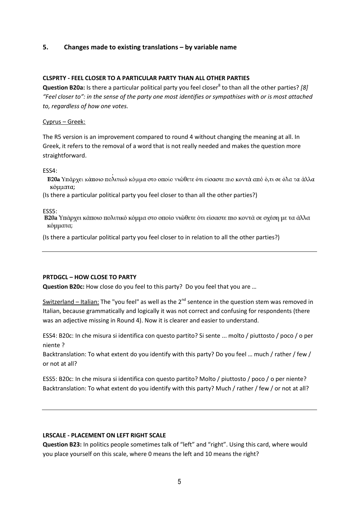### <span id="page-4-0"></span>**5. Changes made to existing translations – by variable name**

#### **CLSPRTY - FEEL CLOSER TO A PARTICULAR PARTY THAN ALL OTHER PARTIES**

**Question B20a:** Is there a particular political party you feel closer<sup>8</sup> to than all the other parties? [8] *"Feel closer to": in the sense of the party one most identifies or sympathises with or is most attached to, regardless of how one votes.*

#### Cyprus – Greek:

The R5 version is an improvement compared to round 4 without changing the meaning at all. In Greek, it refers to the removal of a word that is not really needed and makes the question more straightforward.

ESS4:

Β20a Υπάρχει κάποιο πολιτικό κόμμα στο οποίο νιώθετε ότι είσαστε πιο κοντά από ό,τι σε όλα τα άλλα κόμματα;

(Is there a particular political party you feel closer to than all the other parties?)

ESS5:<br>**B20a Υπ**άρχει κάποιο πολιτικό κόμμα στο οποίο νιώθετε ότι είσαστε πιο κοντά σε σχέση με τα άλλα κόμματα;

(Is there a particular political party you feel closer to in relation to all the other parties?)

#### **PRTDGCL – HOW CLOSE TO PARTY**

**Question B20c:** How close do you feel to this party? Do you feel that you are …

Switzerland – Italian: The "you feel" as well as the  $2^{nd}$  sentence in the question stem was removed in Italian, because grammatically and logically it was not correct and confusing for respondents (there was an adjective missing in Round 4). Now it is clearer and easier to understand.

ESS4: B20c: In che misura si identifica con questo partito? Si sente ... molto / piuttosto / poco / o per niente ?

Backtranslation: To what extent do you identify with this party? Do you feel … much / rather / few / or not at all?

ESS5: B20c: In che misura si identifica con questo partito? Molto / piuttosto / poco / o per niente? Backtranslation: To what extent do you identify with this party? Much / rather / few / or not at all?

#### **LRSCALE - PLACEMENT ON LEFT RIGHT SCALE**

**Question B23:** In politics people sometimes talk of "left" and "right". Using this card, where would you place yourself on this scale, where 0 means the left and 10 means the right?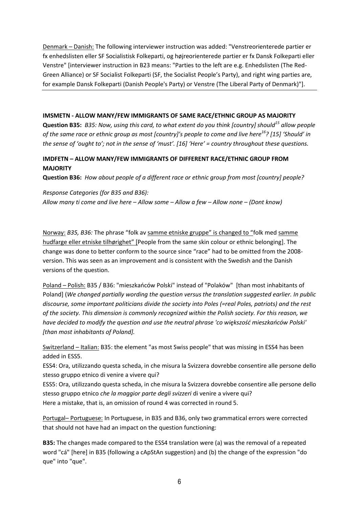Denmark – Danish: The following interviewer instruction was added: "Venstreorienterede partier er fx enhedslisten eller SF Socialistisk Folkeparti, og højreorienterede partier er fx Dansk Folkeparti eller Venstre" [interviewer instruction in B23 means: "Parties to the left are e.g. Enhedslisten (The Red-Green Alliance) or SF Socialist Folkeparti (SF, the Socialist People's Party), and right wing parties are, for example Dansk Folkeparti (Danish People's Party) or Venstre (The Liberal Party of Denmark)"].

### **IMSMETN - ALLOW MANY/FEW IMMIGRANTS OF SAME RACE/ETHNIC GROUP AS MAJORITY**

**Question B35:** *B35: Now, using this card, to what extent do you think [country] should<sup>15</sup> allow people of the same race or ethnic group as most [country]'s people to come and live here<sup>16</sup>? [15] 'Should' in the sense of 'ought to'; not in the sense of 'must'. [16] 'Here' = country throughout these questions.*

### **IMDFETN – ALLOW MANY/FEW IMMIGRANTS OF DIFFERENT RACE/ETHNIC GROUP FROM MAJORITY**

**Question B36:** *How about people of a different race or ethnic group from most [country] people?*

*Response Categories (for B35 and B36): Allow many ti come and live here – Allow some – Allow a few – Allow none – (Dont know)*

Norway: *B35, B36:* The phrase "folk av samme etniske gruppe" is changed to "folk med samme hudfarge eller etniske tilhørighet" [People from the same skin colour or ethnic belonging]. The change was done to better conform to the source since "race" had to be omitted from the 2008 version. This was seen as an improvement and is consistent with the Swedish and the Danish versions of the question.

Poland – Polish: B35 / B36: "mieszkańców Polski" instead of "Polaków" [than most inhabitants of Poland] (*We changed partially wording the question versus the translation suggested earlier. In public discourse, some important politicians divide the society into Poles (=real Poles, patriots) and the rest of the society. This dimension is commonly recognized within the Polish society. For this reason, we have decided to modify the question and use the neutral phrase 'co większość mieszkańców Polski' [than most inhabitants of Poland].*

Switzerland – Italian: B35: the element "as most Swiss people" that was missing in ESS4 has been added in ESS5.

ESS4: Ora, utilizzando questa scheda, in che misura la Svizzera dovrebbe consentire alle persone dello stesso gruppo etnico di venire a vivere qui?

ESS5: Ora, utilizzando questa scheda, in che misura la Svizzera dovrebbe consentire alle persone dello stesso gruppo etnico *che la maggior parte degli svizzeri* di venire a vivere qui? Here a mistake, that is, an omission of round 4 was corrected in round 5.

Portugal– Portuguese: In Portuguese, in B35 and B36, only two grammatical errors were corrected that should not have had an impact on the question functioning:

**B35:** The changes made compared to the ESS4 translation were (a) was the removal of a repeated word "cá" [here] in B35 (following a cApStAn suggestion) and (b) the change of the expression "do que" into "que".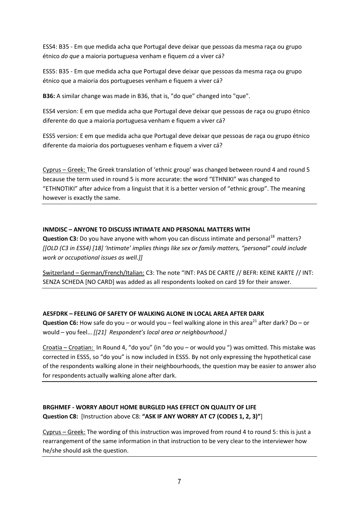ESS4: B35 - Em que medida acha que Portugal deve deixar que pessoas da mesma raça ou grupo étnico *do que* a maioria portuguesa venham e fiquem *cá* a viver cá?

ESS5: B35 - Em que medida acha que Portugal deve deixar que pessoas da mesma raça ou grupo étnico que a maioria dos portugueses venham e fiquem a viver cá?

**B36:** A similar change was made in B36, that is, "do que" changed into "que".

ESS4 version: E em que medida acha que Portugal deve deixar que pessoas de raça ou grupo étnico diferente do que a maioria portuguesa venham e fiquem a viver cá?

ESS5 version: E em que medida acha que Portugal deve deixar que pessoas de raça ou grupo étnico diferente da maioria dos portugueses venham e fiquem a viver cá?

Cyprus – Greek: The Greek translation of 'ethnic group' was changed between round 4 and round 5 because the term used in round 5 is more accurate: the word "ETHNIKI" was changed to "ETHNOTIKI" after advice from a linguist that it is a better version of "ethnic group". The meaning however is exactly the same.

### **INMDISC – ANYONE TO DISCUSS INTIMATE AND PERSONAL MATTERS WITH**

**Question C3:** Do you have anyone with whom you can discuss intimate and personal<sup>18</sup> matters? *[[OLD (C3 in ESS4) [18] 'Intimate' implies things like sex or family matters, "personal" could include work or occupational issues as well.]]*

Switzerland – German/French/Italian: C3: The note "INT: PAS DE CARTE // BEFR: KEINE KARTE // INT: SENZA SCHEDA [NO CARD] was added as all respondents looked on card 19 for their answer.

# **AESFDRK – FEELING OF SAFETY OF WALKING ALONE IN LOCAL AREA AFTER DARK**

**Question C6:** How safe do you – or would you – feel walking alone in this area<sup>21</sup> after dark? Do – or would – you feel… *[[21] Respondent's local area or neighbourhood.]*

Croatia – Croatian: In Round 4, "do you" (in "do you – or would you ") was omitted. This mistake was corrected in ESS5, so "do you" is now included in ESS5. By not only expressing the hypothetical case of the respondents walking alone in their neighbourhoods, the question may be easier to answer also for respondents actually walking alone after dark.

# **BRGHMEF - WORRY ABOUT HOME BURGLED HAS EFFECT ON QUALITY OF LIFE Question C8:** [Instruction above C8: **"ASK IF ANY WORRY AT C7 (CODES 1, 2, 3)"**]

Cyprus – Greek: The wording of this instruction was improved from round 4 to round 5: this is just a rearrangement of the same information in that instruction to be very clear to the interviewer how he/she should ask the question.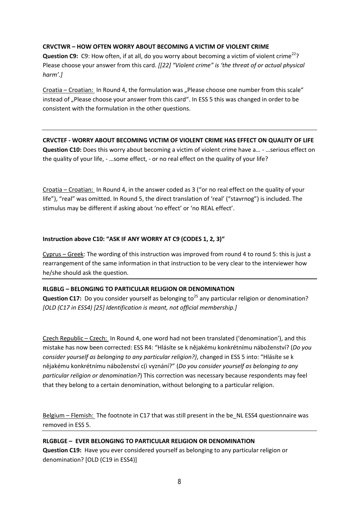### **CRVCTWR – HOW OFTEN WORRY ABOUT BECOMING A VICTIM OF VIOLENT CRIME**

**Question C9:** C9: How often, if at all, do you worry about becoming a victim of violent crime<sup>22</sup>? Please choose your answer from this card. *[[22] "Violent crime" is 'the threat of or actual physical harm'.]*

Croatia – Croatian: In Round 4, the formulation was "Please choose one number from this scale" instead of "Please choose your answer from this card". In ESS 5 this was changed in order to be consistent with the formulation in the other questions.

**CRVCTEF - WORRY ABOUT BECOMING VICTIM OF VIOLENT CRIME HAS EFFECT ON QUALITY OF LIFE Question C10:** Does this worry about becoming a victim of violent crime have a… - …serious effect on the quality of your life, - …some effect, - or no real effect on the quality of your life?

Croatia – Croatian: In Round 4, in the answer coded as 3 ("or no real effect on the quality of your life"), "real" was omitted. In Round 5, the direct translation of 'real' ("stavrnog") is included. The stimulus may be different if asking about 'no effect' or 'no REAL effect'.

### **Instruction above C10: "ASK IF ANY WORRY AT C9 (CODES 1, 2, 3)"**

Cyprus – Greek: The wording of this instruction was improved from round 4 to round 5: this is just a rearrangement of the same information in that instruction to be very clear to the interviewer how he/she should ask the question.

### **RLGBLG – BELONGING TO PARTICULAR RELIGION OR DENOMINATION**

**Question C17:** Do you consider yourself as belonging to<sup>25</sup> any particular religion or denomination? *[OLD (C17 in ESS4) [25] Identification is meant, not official membership.]*

Czech Republic – Czech: In Round 4, one word had not been translated ('denomination'), and this mistake has now been corrected: ESS R4: "Hlásíte se k nějakému konkrétnímu náboženství? (*Do you consider yourself as belonging to any particular religion?)*, changed in ESS 5 into: "Hlásíte se k nějakému konkrétnímu náboženství c(i vyznání?" (*Do you consider yourself as belonging to any particular religion or denomination?*) This correction was necessary because respondents may feel that they belong to a certain denomination, without belonging to a particular religion.

Belgium – Flemish: The footnote in C17 that was still present in the be\_NL ESS4 questionnaire was removed in ESS 5.

### **RLGBLGE – EVER BELONGING TO PARTICULAR RELIGION OR DENOMINATION Question C19:** Have you ever considered yourself as belonging to any particular religion or denomination? [OLD (C19 in ESS4)]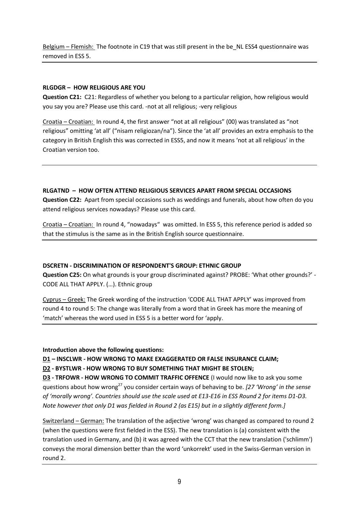Belgium – Flemish: The footnote in C19 that was still present in the be\_NL ESS4 questionnaire was removed in ESS 5.

### **RLGDGR – HOW RELIGIOUS ARE YOU**

**Question C21:** C21: Regardless of whether you belong to a particular religion, how religious would you say you are? Please use this card. -not at all religious; -very religious

Croatia – Croatian: In round 4, the first answer "not at all religious" (00) was translated as "not religious" omitting 'at all' ("nisam religiozan/na"). Since the 'at all' provides an extra emphasis to the category in British English this was corrected in ESS5, and now it means 'not at all religious' in the Croatian version too.

### **RLGATND – HOW OFTEN ATTEND RELIGIOUS SERVICES APART FROM SPECIAL OCCASIONS**

**Question C22:** Apart from special occasions such as weddings and funerals, about how often do you attend religious services nowadays? Please use this card.

Croatia – Croatian: In round 4, "nowadays" was omitted. In ESS 5, this reference period is added so that the stimulus is the same as in the British English source questionnaire.

### **DSCRETN - DISCRIMINATION OF RESPONDENT'S GROUP: ETHNIC GROUP**

**Question C25:** On what grounds is your group discriminated against? PROBE: 'What other grounds?' - CODE ALL THAT APPLY. (…). Ethnic group

Cyprus – Greek: The Greek wording of the instruction 'CODE ALL THAT APPLY' was improved from round 4 to round 5: The change was literally from a word that in Greek has more the meaning of 'match' whereas the word used in ESS 5 is a better word for 'apply.

### **Introduction above the following questions:**

### **D1 – INSCLWR - HOW WRONG TO MAKE EXAGGERATED OR FALSE INSURANCE CLAIM;**

### **D2 - BYSTLWR - HOW WRONG TO BUY SOMETHING THAT MIGHT BE STOLEN;**

**D3 - TRFOWR - HOW WRONG TO COMMIT TRAFFIC OFFENCE** (I would now like to ask you some questions about how wrong<sup>27</sup> you consider certain ways of behaving to be. *[27 'Wrong' in the sense of 'morally wrong'. Countries should use the scale used at E13-E16 in ESS Round 2 for items D1-D3. Note however that only D1 was fielded in Round 2 (as E15) but in a slightly different form.]*

Switzerland – German: The translation of the adjective 'wrong' was changed as compared to round 2 (when the questions were first fielded in the ESS). The new translation is (a) consistent with the translation used in Germany, and (b) it was agreed with the CCT that the new translation ('schlimm') conveys the moral dimension better than the word 'unkorrekt' used in the Swiss-German version in round 2.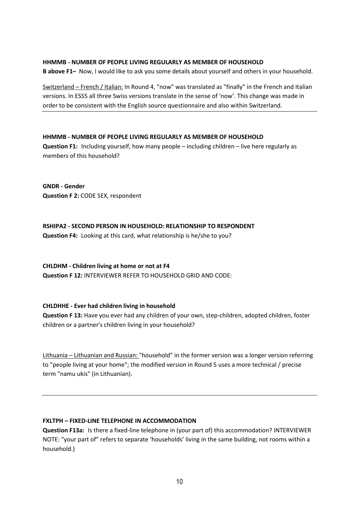#### **HHMMB - NUMBER OF PEOPLE LIVING REGULARLY AS MEMBER OF HOUSEHOLD**

**B above F1–** Now, I would like to ask you some details about yourself and others in your household.

Switzerland – French / Italian: In Round 4, "now" was translated as "finally" in the French and Italian versions. In ESS5 all three Swiss versions translate in the sense of 'now'. This change was made in order to be consistent with the English source questionnaire and also within Switzerland.

#### **HHMMB - NUMBER OF PEOPLE LIVING REGULARLY AS MEMBER OF HOUSEHOLD**

**Question F1:** Including yourself, how many people – including children – live here regularly as members of this household?

**GNDR - Gender Question F 2:** CODE SEX, respondent

**RSHIPA2 - SECOND PERSON IN HOUSEHOLD: RELATIONSHIP TO RESPONDENT Question F4:** Looking at this card, what relationship is he/she to you?

**CHLDHM - Children living at home or not at F4 Question F 12:** INTERVIEWER REFER TO HOUSEHOLD GRID AND CODE:

#### **CHLDHHE - Ever had children living in household**

**Question F 13:** Have you ever had any children of your own, step-children, adopted children, foster children or a partner's children living in your household?

Lithuania – Lithuanian and Russian: "household" in the former version was a longer version referring to "people living at your home"; the modified version in Round 5 uses a more technical / precise term "namu ukis" (in Lithuanian).

### **FXLTPH – FIXED-LINE TELEPHONE IN ACCOMMODATION**

**Question F13a:** Is there a fixed-line telephone in (your part of) this accommodation? INTERVIEWER NOTE: "your part of" refers to separate 'households' living in the same building, not rooms within a household.)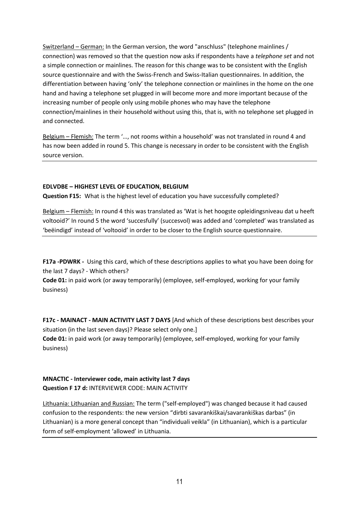Switzerland – German: In the German version, the word "anschluss" (telephone mainlines / connection) was removed so that the question now asks if respondents have a *telephone set* and not a simple connection or mainlines. The reason for this change was to be consistent with the English source questionnaire and with the Swiss-French and Swiss-Italian questionnaires. In addition, the differentiation between having 'only' the telephone connection or mainlines in the home on the one hand and having a telephone set plugged in will become more and more important because of the increasing number of people only using mobile phones who may have the telephone connection/mainlines in their household without using this, that is, with no telephone set plugged in and connected.

Belgium – Flemish: The term '…, not rooms within a household' was not translated in round 4 and has now been added in round 5. This change is necessary in order to be consistent with the English source version.

### **EDLVDBE – HIGHEST LEVEL OF EDUCATION, BELGIUM**

**Question F15:** What is the highest level of education you have successfully completed?

Belgium – Flemish: In round 4 this was translated as 'Wat is het hoogste opleidingsniveau dat u heeft voltooid?' In round 5 the word 'succesfully' (succesvol) was added and 'completed' was translated as 'beëindigd' instead of 'voltooid' in order to be closer to the English source questionnaire.

**F17a -PDWRK -** Using this card, which of these descriptions applies to what you have been doing for the last 7 days? - Which others?

**Code 01:** in paid work (or away temporarily) (employee, self-employed, working for your family business)

**F17c - MAINACT - MAIN ACTIVITY LAST 7 DAYS** [And which of these descriptions best describes your situation (in the last seven days)? Please select only one.] **Code 01:** in paid work (or away temporarily) (employee, self-employed, working for your family business)

### **MNACTIC - Interviewer code, main activity last 7 days Question F 17 d:** INTERVIEWER CODE: MAIN ACTIVITY

Lithuania: Lithuanian and Russian: The term ("self-employed") was changed because it had caused confusion to the respondents: the new version "dirbti savarankiškai/savarankiškas darbas" (in Lithuanian) is a more general concept than "individuali veikla" (in Lithuanian), which is a particular form of self-employment 'allowed' in Lithuania.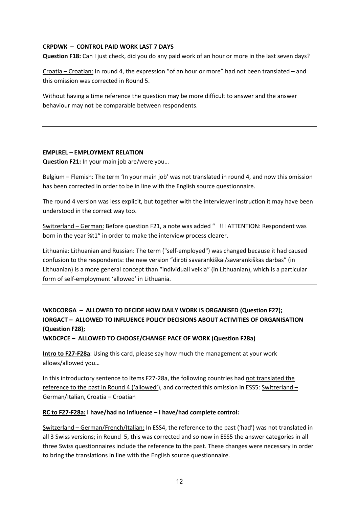#### **CRPDWK – CONTROL PAID WORK LAST 7 DAYS**

**Question F18:** Can I just check, did you do any paid work of an hour or more in the last seven days?

Croatia – Croatian: In round 4, the expression "of an hour or more" had not been translated – and this omission was corrected in Round 5.

Without having a time reference the question may be more difficult to answer and the answer behaviour may not be comparable between respondents.

#### **EMPLREL – EMPLOYMENT RELATION**

**Question F21:** In your main job are/were you…

Belgium – Flemish: The term 'In your main job' was not translated in round 4, and now this omission has been corrected in order to be in line with the English source questionnaire.

The round 4 version was less explicit, but together with the interviewer instruction it may have been understood in the correct way too.

Switzerland – German: Before question F21, a note was added " !!! ATTENTION: Respondent was born in the year %t1" in order to make the interview process clearer.

Lithuania: Lithuanian and Russian: The term ("self-employed") was changed because it had caused confusion to the respondents: the new version "dirbti savarankiškai/savarankiškas darbas" (in Lithuanian) is a more general concept than "individuali veikla" (in Lithuanian), which is a particular form of self-employment 'allowed' in Lithuania.

# **WKDCORGA – ALLOWED TO DECIDE HOW DAILY WORK IS ORGANISED (Question F27); IORGACT – ALLOWED TO INFLUENCE POLICY DECISIONS ABOUT ACTIVITIES OF ORGANISATION (Question F28);**

**WKDCPCE – ALLOWED TO CHOOSE/CHANGE PACE OF WORK (Question F28a)**

**Intro to F27-F28a**: Using this card, please say how much the management at your work allows/allowed you…

In this introductory sentence to items F27-28a, the following countries had not translated the reference to the past in Round 4 ('allowed'), and corrected this omission in ESS5: Switzerland – German/Italian, Croatia – Croatian

### **RC to F27-F28a: I have/had no influence – I have/had complete control:**

Switzerland – German/French/Italian: In ESS4, the reference to the past ('had') was not translated in all 3 Swiss versions; in Round 5, this was corrected and so now in ESS5 the answer categories in all three Swiss questionnaires include the reference to the past. These changes were necessary in order to bring the translations in line with the English source questionnaire.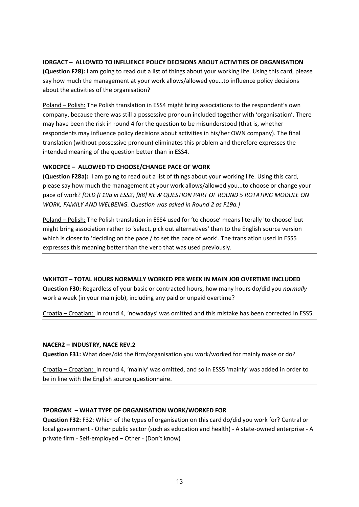### **IORGACT – ALLOWED TO INFLUENCE POLICY DECISIONS ABOUT ACTIVITIES OF ORGANISATION**

**(Question F28):** I am going to read out a list of things about your working life. Using this card, please say how much the management at your work allows/allowed you…to influence policy decisions about the activities of the organisation?

Poland – Polish: The Polish translation in ESS4 might bring associations to the respondent's own company, because there was still a possessive pronoun included together with 'organisation'. There may have been the risk in round 4 for the question to be misunderstood (that is, whether respondents may influence policy decisions about activities in his/her OWN company). The final translation (without possessive pronoun) eliminates this problem and therefore expresses the intended meaning of the question better than in ESS4.

### **WKDCPCE – ALLOWED TO CHOOSE/CHANGE PACE OF WORK**

**(Question F28a):** I am going to read out a list of things about your working life. Using this card, please say how much the management at your work allows/allowed you...to choose or change your pace of work? *[OLD (F19a in ESS2) [88] NEW QUESTION PART OF ROUND 5 ROTATING MODULE ON WORK, FAMILY AND WELBEING. Question was asked in Round 2 as F19a.]*

Poland – Polish: The Polish translation in ESS4 used for 'to choose' means literally 'to choose' but might bring association rather to 'select, pick out alternatives' than to the English source version which is closer to 'deciding on the pace / to set the pace of work'. The translation used in ESS5 expresses this meaning better than the verb that was used previously.

### **WKHTOT – TOTAL HOURS NORMALLY WORKED PER WEEK IN MAIN JOB OVERTIME INCLUDED**

**Question F30:** Regardless of your basic or contracted hours, how many hours do/did you *normally* work a week (in your main job), including any paid or unpaid overtime?

Croatia – Croatian: In round 4, 'nowadays' was omitted and this mistake has been corrected in ESS5.

#### **NACER2 – INDUSTRY, NACE REV.2**

**Question F31:** What does/did the firm/organisation you work/worked for mainly make or do?

Croatia – Croatian: In round 4, 'mainly' was omitted, and so in ESS5 'mainly' was added in order to be in line with the English source questionnaire.

### **TPORGWK – WHAT TYPE OF ORGANISATION WORK/WORKED FOR**

**Question F32:** F32: Which of the types of organisation on this card do/did you work for? Central or local government - Other public sector (such as education and health) - A state-owned enterprise - A private firm - Self-employed – Other - (Don't know)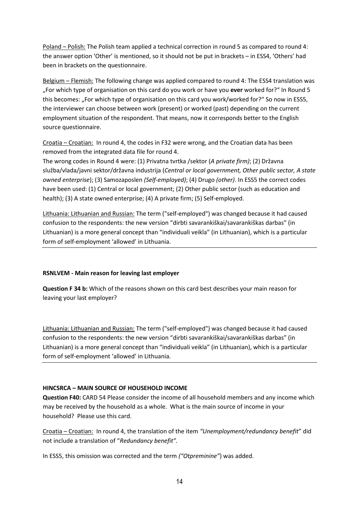Poland – Polish: The Polish team applied a technical correction in round 5 as compared to round 4: the answer option 'Other' is mentioned, so it should not be put in brackets – in ESS4, 'Others' had been in brackets on the questionnaire.

Belgium – Flemish: The following change was applied compared to round 4: The ESS4 translation was "For which type of organisation on this card do you work or have you **ever** worked for?" In Round 5 this becomes: "For which type of organisation on this card you work/worked for?" So now in ESS5, the interviewer can choose between work (present) or worked (past) depending on the current employment situation of the respondent. That means, now it corresponds better to the English source questionnaire.

Croatia – Croatian: In round 4, the codes in F32 were wrong, and the Croatian data has been removed from the integrated data file for round 4.

The wrong codes in Round 4 were: (1) Privatna tvrtka /sektor (*A private firm)*; (2) Državna služba/vlada/javni sektor/državna industrija (*Central or local government, Other public sector, A state owned enterprise*); (3) Samozaposlen *(Self-employed)*; (4) Drugo *(other)*. In ESS5 the correct codes have been used: (1) Central or local government; (2) Other public sector (such as education and health); (3) A state owned enterprise; (4) A private firm; (5) Self-employed.

Lithuania: Lithuanian and Russian: The term ("self-employed") was changed because it had caused confusion to the respondents: the new version "dirbti savarankiškai/savarankiškas darbas" (in Lithuanian) is a more general concept than "individuali veikla" (in Lithuanian), which is a particular form of self-employment 'allowed' in Lithuania.

### **RSNLVEM - Main reason for leaving last employer**

**Question F 34 b:** Which of the reasons shown on this card best describes your main reason for leaving your last employer?

Lithuania: Lithuanian and Russian: The term ("self-employed") was changed because it had caused confusion to the respondents: the new version "dirbti savarankiškai/savarankiškas darbas" (in Lithuanian) is a more general concept than "individuali veikla" (in Lithuanian), which is a particular form of self-employment 'allowed' in Lithuania.

### **HINCSRCA – MAIN SOURCE OF HOUSEHOLD INCOME**

**Question F40:** CARD 54 Please consider the income of all household members and any income which may be received by the household as a whole. What is the main source of income in your household? Please use this card.

Croatia – Croatian: In round 4, the translation of the item *"Unemployment/redundancy benefit*" did not include a translation of "*Redundancy benefit".*

In ESS5, this omission was corrected and the term *("Otpreminine"*) was added.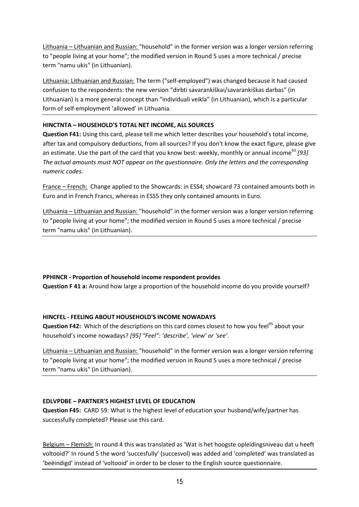Lithuania – Lithuanian and Russian: "household" in the former version was a longer version referring to "people living at your home"; the modified version in Round 5 uses a more technical / precise term "namu ukis" (in Lithuanian).

Lithuania: Lithuanian and Russian: The term ("self-employed") was changed because it had caused confusion to the respondents: the new version "dirbti savarankiškai/savarankiškas darbas" (in Lithuanian) is a more general concept than "individuali veikla" (in Lithuanian), which is a particular form of self-employment 'allowed' in Lithuania.

### **HINCTNTA – HOUSEHOLD'S TOTAL NET INCOME, ALL SOURCES**

**Question F41:** Using this card, please tell me which letter describes your household's total income, after tax and compulsory deductions, from all sources? If you don't know the exact figure, please give an estimate. Use the part of the card that you know best: weekly, monthly or annual income<sup>93</sup> [93] *The actual amounts must NOT appear on the questionnaire. Only the letters and the corresponding numeric codes.*

France – French: Change applied to the Showcards: in ESS4, showcard 73 contained amounts both in Euro and in French Francs, whereas in ESS5 they only contained amounts in Euro.

Lithuania – Lithuanian and Russian: "household" in the former version was a longer version referring to "people living at your home"; the modified version in Round 5 uses a more technical / precise term "namu ukis" (in Lithuanian).

### **PPHINCR - Proportion of household income respondent provides**

**Question F 41 a:** Around how large a proportion of the household income do you provide yourself?

### **HINCFEL - FEELING ABOUT HOUSEHOLD'S INCOME NOWADAYS**

**Question F42:** Which of the descriptions on this card comes closest to how you feel<sup>95</sup> about your household's income nowadays? *[95] "Feel": 'describe', 'view' or 'see'*.

Lithuania – Lithuanian and Russian: "household" in the former version was a longer version referring to "people living at your home"; the modified version in Round 5 uses a more technical / precise term "namu ukis" (in Lithuanian).

### **EDLVPDBE – PARTNER'S HIGHEST LEVEL OF EDUCATION**

**Question F45:** CARD 59: What is the highest level of education your husband/wife/partner has successfully completed? Please use this card.

Belgium – Flemish: In round 4 this was translated as 'Wat is het hoogste opleidingsniveau dat u heeft voltooid?' In round 5 the word 'succesfully' (succesvol) was added and 'completed' was translated as 'beëindigd' instead of 'voltooid' in order to be closer to the English source questionnaire.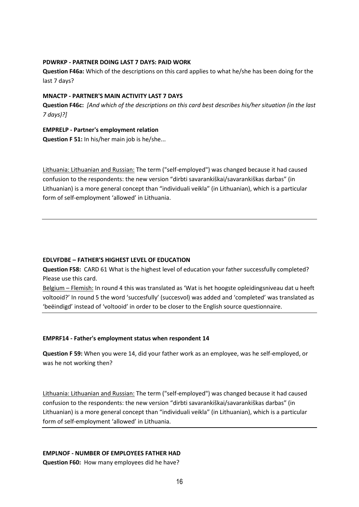#### **PDWRKP - PARTNER DOING LAST 7 DAYS: PAID WORK**

**Question F46a:** Which of the descriptions on this card applies to what he/she has been doing for the last 7 days?

#### **MNACTP - PARTNER'S MAIN ACTIVITY LAST 7 DAYS**

**Question F46c:** *[And which of the descriptions on this card best describes his/her situation (in the last 7 days)?]*

#### **EMPRELP - Partner's employment relation**

**Question F 51:** In his/her main job is he/she...

Lithuania: Lithuanian and Russian: The term ("self-employed") was changed because it had caused confusion to the respondents: the new version "dirbti savarankiškai/savarankiškas darbas" (in Lithuanian) is a more general concept than "individuali veikla" (in Lithuanian), which is a particular form of self-employment 'allowed' in Lithuania.

#### **EDLVFDBE – FATHER'S HIGHEST LEVEL OF EDUCATION**

**Question F58:** CARD 61 What is the highest level of education your father successfully completed? Please use this card.

Belgium - Flemish: In round 4 this was translated as 'Wat is het hoogste opleidingsniveau dat u heeft voltooid?' In round 5 the word 'succesfully' (succesvol) was added and 'completed' was translated as 'beëindigd' instead of 'voltooid' in order to be closer to the English source questionnaire.

#### **EMPRF14 - Father's employment status when respondent 14**

**Question F 59:** When you were 14, did your father work as an employee, was he self-employed, or was he not working then?

Lithuania: Lithuanian and Russian: The term ("self-employed") was changed because it had caused confusion to the respondents: the new version "dirbti savarankiškai/savarankiškas darbas" (in Lithuanian) is a more general concept than "individuali veikla" (in Lithuanian), which is a particular form of self-employment 'allowed' in Lithuania.

### **EMPLNOF - NUMBER OF EMPLOYEES FATHER HAD**

**Question F60:** How many employees did he have?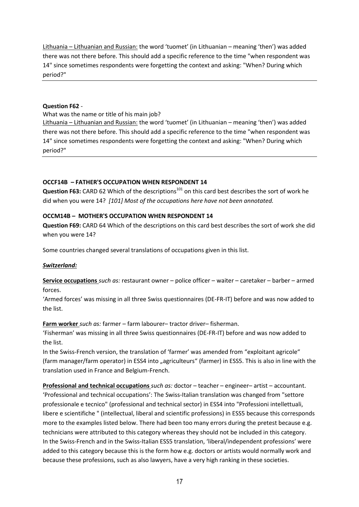Lithuania – Lithuanian and Russian: the word 'tuomet' (in Lithuanian – meaning 'then') was added there was not there before. This should add a specific reference to the time "when respondent was 14" since sometimes respondents were forgetting the context and asking: "When? During which period?"

#### **Question F62** -

What was the name or title of his main job?

Lithuania – Lithuanian and Russian: the word 'tuomet' (in Lithuanian – meaning 'then') was added there was not there before. This should add a specific reference to the time "when respondent was 14" since sometimes respondents were forgetting the context and asking: "When? During which period?"

#### **OCCF14B – FATHER'S OCCUPATION WHEN RESPONDENT 14**

**Question F63:** CARD 62 Which of the descriptions<sup>101</sup> on this card best describes the sort of work he did when you were 14? *[101] Most of the occupations here have not been annotated.* 

#### **OCCM14B – MOTHER'S OCCUPATION WHEN RESPONDENT 14**

**Question F69:** CARD 64 Which of the descriptions on this card best describes the sort of work she did when you were 14?

Some countries changed several translations of occupations given in this list.

### *Switzerland:*

**Service occupations** *such as:* restaurant owner – police officer – waiter – caretaker – barber – armed forces.

'Armed forces' was missing in all three Swiss questionnaires (DE-FR-IT) before and was now added to the list.

#### **Farm worker** *such as:* farmer – farm labourer– tractor driver– fisherman.

'Fisherman' was missing in all three Swiss questionnaires (DE-FR-IT) before and was now added to the list.

In the Swiss-French version, the translation of 'farmer' was amended from "exploitant agricole" (farm manager/farm operator) in ESS4 into "agriculteurs" (farmer) in ESS5. This is also in line with the translation used in France and Belgium-French.

**Professional and technical occupations** *such as:* doctor – teacher – engineer– artist – accountant. 'Professional and technical occupations': The Swiss-Italian translation was changed from "settore professionale e tecnico" (professional and technical sector) in ESS4 into "Professioni intellettuali, libere e scientifiche " (intellectual, liberal and scientific professions) in ESS5 because this corresponds more to the examples listed below. There had been too many errors during the pretest because e.g. technicians were attributed to this category whereas they should not be included in this category. In the Swiss-French and in the Swiss-Italian ESS5 translation, 'liberal/independent professions' were added to this category because this is the form how e.g. doctors or artists would normally work and because these professions, such as also lawyers, have a very high ranking in these societies.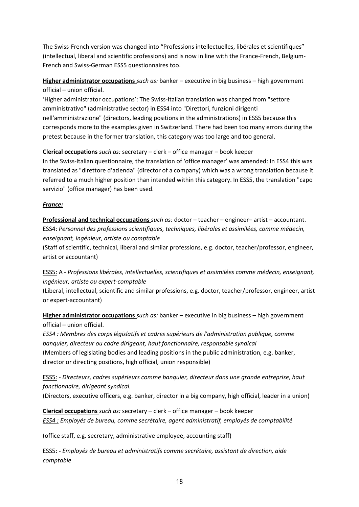The Swiss-French version was changed into "Professions intellectuelles, libérales et scientifiques" (intellectual, liberal and scientific professions) and is now in line with the France-French, Belgium-French and Swiss-German ESS5 questionnaires too.

**Higher administrator occupations** *such as:* banker – executive in big business – high government official – union official.

'Higher administrator occupations': The Swiss-Italian translation was changed from "settore amministrativo" (administrative sector) in ESS4 into "Direttori, funzioni dirigenti nell'amministrazione" (directors, leading positions in the administrations) in ESS5 because this corresponds more to the examples given in Switzerland. There had been too many errors during the pretest because in the former translation, this category was too large and too general.

**Clerical occupations** *such as:* secretary – clerk – office manager – book keeper

In the Swiss-Italian questionnaire, the translation of 'office manager' was amended: In ESS4 this was translated as "direttore d'azienda" (director of a company) which was a wrong translation because it referred to a much higher position than intended within this category. In ESS5, the translation "capo servizio" (office manager) has been used.

### *France:*

**Professional and technical occupations** *such as:* doctor – teacher – engineer– artist – accountant. ESS4: *Personnel des professions scientifiques, techniques, libérales et assimilées, comme médecin, enseignant, ingénieur, artiste ou comptable*

(Staff of scientific, technical, liberal and similar professions, e.g. doctor, teacher/professor, engineer, artist or accountant)

ESS5: A - *Professions libérales, intellectuelles, scientifiques et assimilées comme médecin, enseignant, ingénieur, artiste ou expert-comptable*

(Liberal, intellectual, scientific and similar professions, e.g. doctor, teacher/professor, engineer, artist or expert-accountant)

**Higher administrator occupations** *such as:* banker – executive in big business – high government official – union official.

*ESS4 : Membres des corps législatifs et cadres supérieurs de l'administration publique, comme banquier, directeur ou cadre dirigeant, haut fonctionnaire, responsable syndical*  (Members of legislating bodies and leading positions in the public administration, e.g. banker, director or directing positions, high official, union responsible)

ESS5: - *Directeurs, cadres supérieurs comme banquier, directeur dans une grande entreprise, haut fonctionnaire, dirigeant syndical.*

(Directors, executive officers, e.g. banker, director in a big company, high official, leader in a union)

**Clerical occupations** *such as:* secretary – clerk – office manager – book keeper *ESS4 : Employés de bureau, comme secrétaire, agent administratif, employés de comptabilité*

(office staff, e.g. secretary, administrative employee, accounting staff)

ESS5: - *Employés de bureau et administratifs comme secrétaire, assistant de direction, aide comptable*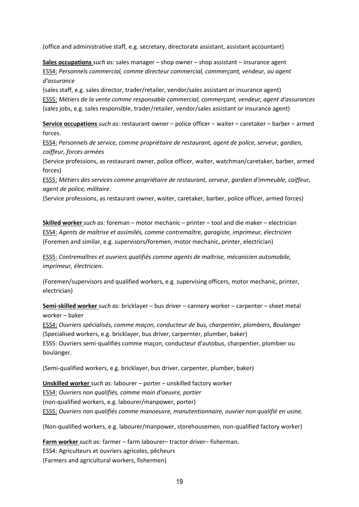(office and administrative staff, e.g. secretary, directorate assistant, assistant accountant)

**Sales occupations** *such as:* sales manager – shop owner – shop assistant – insurance agent ESS4: *Personnels commercial, comme directeur commercial, commerçant, vendeur, ou agent d'assurance*

(sales staff, e.g. sales director, trader/retailer, vendor/sales assistant or insurance agent) ESS5: *Métiers de la vente comme responsable commercial, commerçant, vendeur, agent d'assurances* (sales jobs, e.g. sales responsible, trader/retailer, vendor/sales assistant or insurance agent)

**Service occupations** *such as:* restaurant owner – police officer – waiter – caretaker – barber – armed forces.

ESS4: *Personnels de service, comme propriétaire de restaurant, agent de police, serveur, gardien, coiffeur, forces armées*

(Service professions, as restaurant owner, police officer, waiter, watchman/caretaker, barber, armed forces)

ESS5: *Métiers des services comme propriétaire de restaurant, serveur, gardien d'immeuble, coiffeur, agent de police, militaire.*

(Service professions, as restaurant owner, waiter, caretaker, barber, police officer, armed forces)

**Skilled worker** *such as:* foreman – motor mechanic – printer – tool and die maker – electrician ESS4: *Agents de maîtrise et assimilés, comme contremaître, garagiste, imprimeur, électricien* (Foremen and similar, e.g. supervisors/foremen, motor mechanic, printer, electrician)

ESS5: *Contremaîtres et ouvriers qualifiés comme agents de maîtrise, mécanicien automobile, imprimeur, électricien.*

(Foremen/supervisors and qualified workers, e.g. supervising officers, motor mechanic, printer, electrician)

**Semi-skilled worker** *such as:* bricklayer – bus driver – cannery worker – carpenter – sheet metal worker – baker

ESS4: *Ouvriers spécialisés, comme maçon, conducteur de bus, charpentier, plombiers, Boulanger* (Specialised workers, e.g. bricklayer, bus driver, carpernter, plumber, baker) ESS5: Ouvriers semi-qualifiés comme maçon, conducteur d'autobus, charpentier, plombier ou boulanger.

(Semi-qualified workers, e.g. bricklayer, bus driver, carpenter, plumber, baker)

**Unskilled worker** *such as:* labourer – porter – unskilled factory worker ESS4: *Ouvriers non qualifiés, comme main d'oeuvre, portier* (non-qualified workers, e.g. labourer/manpower, porter) ESS5: *Ouvriers non qualifiés comme manoeuvre, manutentionnaire, ouvrier non qualifié en usine.*

(Non-qualified workers, e.g. labourer/manpower, storehousemen, non-qualified factory worker)

**Farm worker** *such as:* farmer – farm labourer– tractor driver– fisherman. ESS4: Agriculteurs et ouvriers agricoles, pêcheurs (Farmers and agricultural workers, fishermen)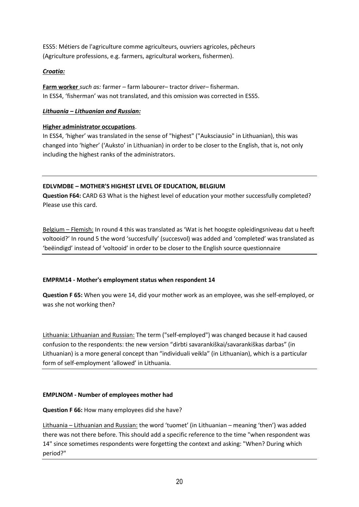ESS5: Métiers de l'agriculture comme agriculteurs, ouvriers agricoles, pêcheurs (Agriculture professions, e.g. farmers, agricultural workers, fishermen).

### *Croatia:*

**Farm worker** *such as:* farmer – farm labourer– tractor driver– fisherman. In ESS4, 'fisherman' was not translated, and this omission was corrected in ESS5.

### *Lithuania – Lithuanian and Russian:*

### **Higher administrator occupations**.

In ESS4, 'higher' was translated in the sense of "highest" ("Auksciausio" in Lithuanian), this was changed into 'higher' ('Auksto' in Lithuanian) in order to be closer to the English, that is, not only including the highest ranks of the administrators.

### **EDLVMDBE – MOTHER'S HIGHEST LEVEL OF EDUCATION, BELGIUM**

**Question F64:** CARD 63 What is the highest level of education your mother successfully completed? Please use this card.

Belgium – Flemish: In round 4 this was translated as 'Wat is het hoogste opleidingsniveau dat u heeft voltooid?' In round 5 the word 'succesfully' (succesvol) was added and 'completed' was translated as 'beëindigd' instead of 'voltooid' in order to be closer to the English source questionnaire

### **EMPRM14 - Mother's employment status when respondent 14**

**Question F 65:** When you were 14, did your mother work as an employee, was she self-employed, or was she not working then?

Lithuania: Lithuanian and Russian: The term ("self-employed") was changed because it had caused confusion to the respondents: the new version "dirbti savarankiškai/savarankiškas darbas" (in Lithuanian) is a more general concept than "individuali veikla" (in Lithuanian), which is a particular form of self-employment 'allowed' in Lithuania.

### **EMPLNOM - Number of employees mother had**

**Question F 66:** How many employees did she have?

Lithuania – Lithuanian and Russian: the word 'tuomet' (in Lithuanian – meaning 'then') was added there was not there before. This should add a specific reference to the time "when respondent was 14" since sometimes respondents were forgetting the context and asking: "When? During which period?"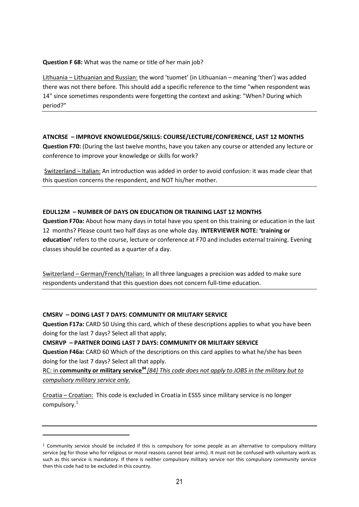**Question F 68:** What was the name or title of her main job?

Lithuania – Lithuanian and Russian: the word 'tuomet' (in Lithuanian – meaning 'then') was added there was not there before. This should add a specific reference to the time "when respondent was 14" since sometimes respondents were forgetting the context and asking: "When? During which period?"

### **ATNCRSE – IMPROVE KNOWLEDGE/SKILLS: COURSE/LECTURE/CONFERENCE, LAST 12 MONTHS**

**Question F70:** (During the last twelve months, have you taken any course or attended any lecture or conference to improve your knowledge or skills for work?

Switzerland – Italian: An introduction was added in order to avoid confusion: it was made clear that this question concerns the respondent, and NOT his/her mother.

### **EDUL12M – NUMBER OF DAYS ON EDUCATION OR TRAINING LAST 12 MONTHS**

**Question F70a:** About how many days in total have you spent on this training or education in the last 12 months? Please count two half days as one whole day. **INTERVIEWER NOTE: 'training or education'** refers to the course, lecture or conference at F70 and includes external training. Evening classes should be counted as a quarter of a day.

Switzerland – German/French/Italian: In all three languages a precision was added to make sure respondents understand that this question does not concern full-time education.

### **CMSRV – DOING LAST 7 DAYS: COMMUNITY OR MILITARY SERVICE**

 $\overline{\phantom{a}}$ 

**Question F17a:** CARD 50 Using this card, which of these descriptions applies to what you have been doing for the last 7 days? Select all that apply;

### **CMSRVP – PARTNER DOING LAST 7 DAYS: COMMUNITY OR MILITARY SERVICE**

**Question F46a:** CARD 60 Which of the descriptions on this card applies to what he/she has been doing for the last 7 days? Select all that apply.

RC: in **community or military service<sup>84</sup>** *[84] This code does not apply to JOBS in the military but to compulsory military service only.*

Croatia – Croatian: This code is excluded in Croatia in ESS5 since military service is no longer compulsory.<sup>1</sup>

 $1$  Community service should be included if this is compulsory for some people as an alternative to compulsory military service (eg for those who for religious or moral reasons cannot bear arms). It must not be confused with voluntary work as such as this service is mandatory. If there is neither compulsory military service nor this compulsory community service then this code had to be excluded in this country.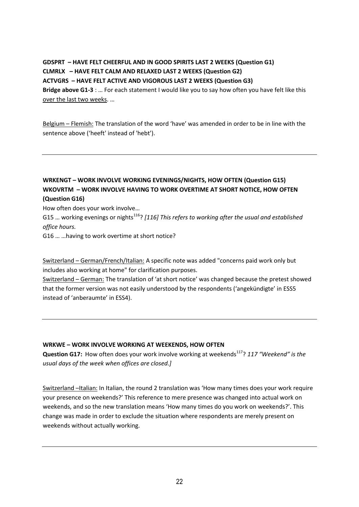# **GDSPRT – HAVE FELT CHEERFUL AND IN GOOD SPIRITS LAST 2 WEEKS (Question G1) CLMRLX – HAVE FELT CALM AND RELAXED LAST 2 WEEKS (Question G2) ACTVGRS – HAVE FELT ACTIVE AND VIGOROUS LAST 2 WEEKS (Question G3) Bridge above G1-3** : … For each statement I would like you to say how often you have felt like this over the last two weeks. …

Belgium – Flemish: The translation of the word 'have' was amended in order to be in line with the sentence above ('heeft' instead of 'hebt').

### **WRKENGT – WORK INVOLVE WORKING EVENINGS/NIGHTS, HOW OFTEN (Question G15) WKOVRTM – WORK INVOLVE HAVING TO WORK OVERTIME AT SHORT NOTICE, HOW OFTEN (Question G16)**

How often does your work involve…

G15 ... working evenings or nights<sup>116</sup>? [116] This refers to working after the usual and established *office hours.*

G16 … …having to work overtime at short notice?

Switzerland – German/French/Italian: A specific note was added "concerns paid work only but includes also working at home" for clarification purposes.

Switzerland – German: The translation of 'at short notice' was changed because the pretest showed that the former version was not easily understood by the respondents ('angekündigte' in ESS5 instead of 'anberaumte' in ESS4).

### **WRKWE – WORK INVOLVE WORKING AT WEEKENDS, HOW OFTEN**

**Question G17:** How often does your work involve working at weekends<sup>117</sup>? 117 "Weekend" is the *usual days of the week when offices are closed.]*

Switzerland –Italian: In Italian, the round 2 translation was 'How many times does your work require your presence on weekends?' This reference to mere presence was changed into actual work on weekends, and so the new translation means 'How many times do you work on weekends?'. This change was made in order to exclude the situation where respondents are merely present on weekends without actually working.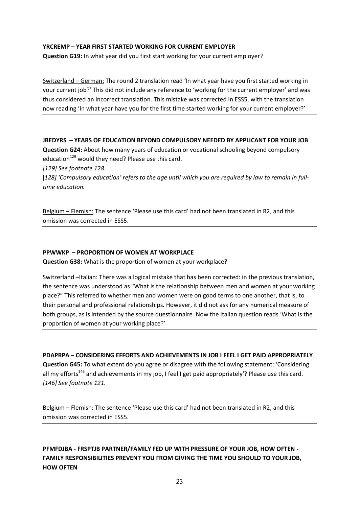### **YRCREMP – YEAR FIRST STARTED WORKING FOR CURRENT EMPLOYER**

**Question G19:** In what year did you first start working for your current employer?

Switzerland – German: The round 2 translation read 'In what year have you first started working in your current job?' This did not include any reference to 'working for the current employer' and was thus considered an incorrect translation. This mistake was corrected in ESS5, with the translation now reading 'In what year have you for the first time started working for your current employer?'

#### **JBEDYRS – YEARS OF EDUCATION BEYOND COMPULSORY NEEDED BY APPLICANT FOR YOUR JOB**

**Question G24:** About how many years of education or vocational schooling beyond compulsory education $^{129}$  would they need? Please use this card.

*[129] See footnote 128.*

[*128] 'Compulsory education' refers to the age until which you are required by law to remain in fulltime education.*

Belgium - Flemish: The sentence 'Please use this card' had not been translated in R2, and this omission was corrected in ESS5.

#### **PPWWKP – PROPORTION OF WOMEN AT WORKPLACE**

**Question G38:** What is the proportion of women at your workplace?

Switzerland –Italian: There was a logical mistake that has been corrected: in the previous translation, the sentence was understood as "What is the relationship between men and women at your working place?" This referred to whether men and women were on good terms to one another, that is, to their personal and professional relationships. However, it did not ask for any numerical measure of both groups, as is intended by the source questionnaire. Now the Italian question reads 'What is the proportion of women at your working place?'

**PDAPRPA – CONSIDERING EFFORTS AND ACHIEVEMENTS IN JOB I FEEL I GET PAID APPROPRIATELY Question G45:** To what extent do you agree or disagree with the following statement: 'Considering all my efforts<sup>146</sup> and achievements in my job, I feel I get paid appropriately'? Please use this card. *[146] See footnote 121.*

Belgium – Flemish: The sentence 'Please use this card' had not been translated in R2, and this omission was corrected in ESS5.

### **PFMFDJBA - FRSPTJB PARTNER/FAMILY FED UP WITH PRESSURE OF YOUR JOB, HOW OFTEN - FAMILY RESPONSIBILITIES PREVENT YOU FROM GIVING THE TIME YOU SHOULD TO YOUR JOB, HOW OFTEN**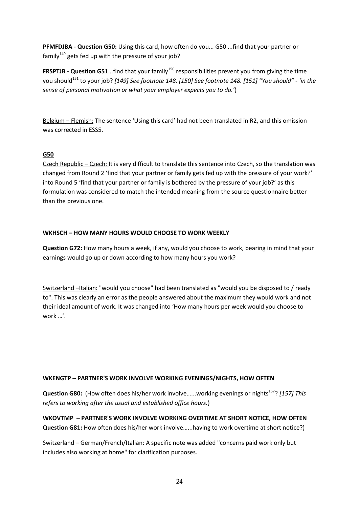**PFMFDJBA - Question G50:** Using this card, how often do you... G50 ...find that your partner or family $149$  gets fed up with the pressure of your job?

**FRSPTJB - Question G51...find that your family<sup>150</sup> responsibilities prevent you from giving the time** you should<sup>151</sup> to your job? *[149] See footnote 148. [150] See footnote 148. [151] "You should" - 'in the sense of personal motivation or what your employer expects you to do.'*)

Belgium – Flemish: The sentence 'Using this card' had not been translated in R2, and this omission was corrected in ESS5.

### **G50**

Czech Republic – Czech: It is very difficult to translate this sentence into Czech, so the translation was changed from Round 2 'find that your partner or family gets fed up with the pressure of your work?' into Round 5 'find that your partner or family is bothered by the pressure of your job?' as this formulation was considered to match the intended meaning from the source questionnaire better than the previous one.

### **WKHSCH – HOW MANY HOURS WOULD CHOOSE TO WORK WEEKLY**

**Question G72:** How many hours a week, if any, would you choose to work, bearing in mind that your earnings would go up or down according to how many hours you work?

Switzerland –Italian: "would you choose" had been translated as "would you be disposed to / ready to". This was clearly an error as the people answered about the maximum they would work and not their ideal amount of work. It was changed into 'How many hours per week would you choose to work …'.

### **WKENGTP – PARTNER'S WORK INVOLVE WORKING EVENINGS/NIGHTS, HOW OFTEN**

**Question G80:** (How often does his/her work involve......working evenings or nights<sup>157</sup>? [157] This *refers to working after the usual and established office hours.*)

**WKOVTMP – PARTNER'S WORK INVOLVE WORKING OVERTIME AT SHORT NOTICE, HOW OFTEN Question G81:** How often does his/her work involve…...having to work overtime at short notice?)

Switzerland – German/French/Italian: A specific note was added "concerns paid work only but includes also working at home" for clarification purposes.